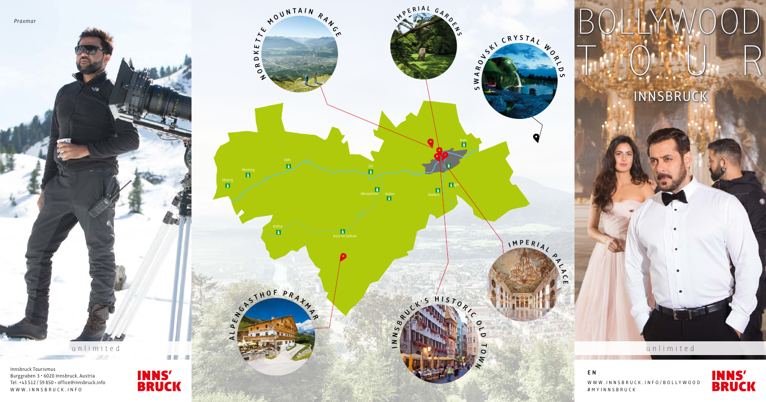unlimited

Innsbruck Tourismus Burggraben 3 • 6020 Innsbruck, Austria Tel. +43 512 / 59 850 • office@innsbruck.info WWW.INNSBRUCK.INFO



3日

a

unlimited шb.  $1000$ 



## INNSBRUCK

WWW.INNSBRUCK.INFO/BOLLYWOOD #MYINNSBRUCK